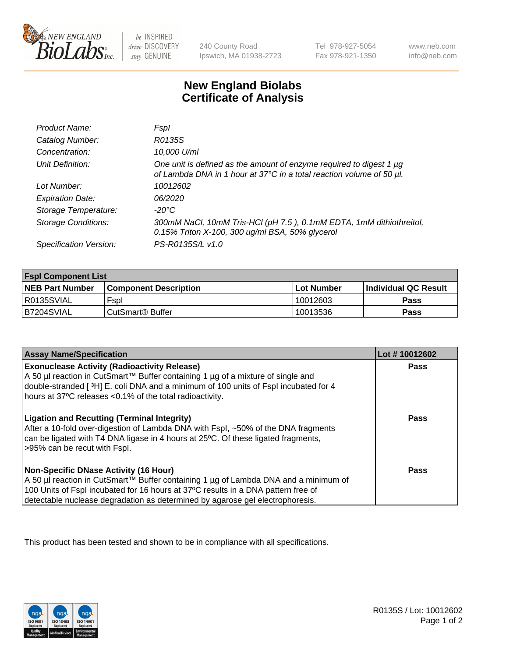

 $be$  INSPIRED drive DISCOVERY stay GENUINE

240 County Road Ipswich, MA 01938-2723 Tel 978-927-5054 Fax 978-921-1350 www.neb.com info@neb.com

## **New England Biolabs Certificate of Analysis**

| Product Name:              | Fspl                                                                                                                                        |
|----------------------------|---------------------------------------------------------------------------------------------------------------------------------------------|
| Catalog Number:            | R0135S                                                                                                                                      |
| Concentration:             | 10,000 U/ml                                                                                                                                 |
| Unit Definition:           | One unit is defined as the amount of enzyme required to digest 1 µg<br>of Lambda DNA in 1 hour at 37°C in a total reaction volume of 50 µl. |
| Lot Number:                | 10012602                                                                                                                                    |
| <b>Expiration Date:</b>    | 06/2020                                                                                                                                     |
| Storage Temperature:       | -20°C                                                                                                                                       |
| <b>Storage Conditions:</b> | 300mM NaCl, 10mM Tris-HCl (pH 7.5), 0.1mM EDTA, 1mM dithiothreitol,<br>0.15% Triton X-100, 300 ug/ml BSA, 50% glycerol                      |
| Specification Version:     | PS-R0135S/L v1.0                                                                                                                            |

| <b>Fspl Component List</b> |                              |                   |                       |  |
|----------------------------|------------------------------|-------------------|-----------------------|--|
| <b>NEB Part Number</b>     | <b>Component Description</b> | <b>Lot Number</b> | ∣Individual QC Result |  |
| R0135SVIAL                 | Fspl                         | 10012603          | <b>Pass</b>           |  |
| B7204SVIAL                 | ' CutSmart® Buffer_          | 10013536          | Pass                  |  |

| <b>Assay Name/Specification</b>                                                                                                                                                                                                                                                                           | Lot #10012602 |
|-----------------------------------------------------------------------------------------------------------------------------------------------------------------------------------------------------------------------------------------------------------------------------------------------------------|---------------|
| <b>Exonuclease Activity (Radioactivity Release)</b><br>A 50 µl reaction in CutSmart™ Buffer containing 1 µg of a mixture of single and<br>double-stranded [3H] E. coli DNA and a minimum of 100 units of Fspl incubated for 4<br>hours at 37°C releases <0.1% of the total radioactivity.                 | Pass          |
| <b>Ligation and Recutting (Terminal Integrity)</b><br>After a 10-fold over-digestion of Lambda DNA with Fspl, ~50% of the DNA fragments<br>can be ligated with T4 DNA ligase in 4 hours at 25 °C. Of these ligated fragments,<br>>95% can be recut with Fspl.                                             | Pass          |
| <b>Non-Specific DNase Activity (16 Hour)</b><br>A 50 µl reaction in CutSmart™ Buffer containing 1 µg of Lambda DNA and a minimum of<br>100 Units of Fspl incubated for 16 hours at 37°C results in a DNA pattern free of<br>detectable nuclease degradation as determined by agarose gel electrophoresis. | <b>Pass</b>   |

This product has been tested and shown to be in compliance with all specifications.